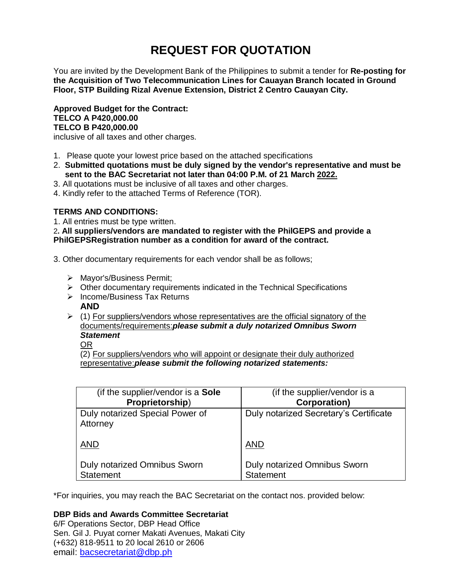# **REQUEST FOR QUOTATION**

You are invited by the Development Bank of the Philippines to submit a tender for **Re-posting for the Acquisition of Two Telecommunication Lines for Cauayan Branch located in Ground Floor, STP Building Rizal Avenue Extension, District 2 Centro Cauayan City.**

**Approved Budget for the Contract: TELCO A P420,000.00 TELCO B P420,000.00**

inclusive of all taxes and other charges.

- 1. Please quote your lowest price based on the attached specifications
- 2. **Submitted quotations must be duly signed by the vendor's representative and must be sent to the BAC Secretariat not later than 04:00 P.M. of 21 March 2022.**
- 3. All quotations must be inclusive of all taxes and other charges.
- 4. Kindly refer to the attached Terms of Reference (TOR).

# **TERMS AND CONDITIONS:**

1. All entries must be type written.

2**. All suppliers/vendors are mandated to register with the PhilGEPS and provide a PhilGEPSRegistration number as a condition for award of the contract.**

- 3. Other documentary requirements for each vendor shall be as follows;
	- > Mayor's/Business Permit;
	- $\triangleright$  Other documentary requirements indicated in the Technical Specifications
	- $\triangleright$  Income/Business Tax Returns **AND**
	- $(1)$  For suppliers/vendors whose representatives are the official signatory of the documents/requirements:*please submit a duly notarized Omnibus Sworn Statement*

OR

(2) For suppliers/vendors who will appoint or designate their duly authorized representative:*please submit the following notarized statements:*

| (if the supplier/vendor is a Sole           | (if the supplier/vendor is a           |
|---------------------------------------------|----------------------------------------|
| Proprietorship)                             | <b>Corporation)</b>                    |
| Duly notarized Special Power of<br>Attorney | Duly notarized Secretary's Certificate |
| <b>AND</b>                                  | <b>AND</b>                             |
| <b>Duly notarized Omnibus Sworn</b>         | Duly notarized Omnibus Sworn           |
| <b>Statement</b>                            | <b>Statement</b>                       |

\*For inquiries, you may reach the BAC Secretariat on the contact nos. provided below:

## **DBP Bids and Awards Committee Secretariat**

6/F Operations Sector, DBP Head Office Sen. Gil J. Puyat corner Makati Avenues, Makati City (+632) 818-9511 to 20 local 2610 or 2606 email: [bacsecretariat@dbp.ph](mailto:bacsecretariat@dbp.ph)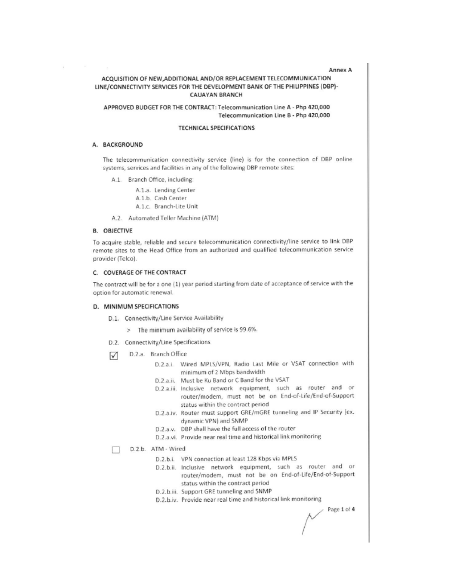#### **Annex A**

### ACQUISITION OF NEW, ADDITIONAL AND/OR REPLACEMENT TELECOMMUNICATION LINE/CONNECTIVITY SERVICES FOR THE DEVELOPMENT BANK OF THE PHILIPPINES (DBP)-**CAUAYAN BRANCH**

APPROVED BUDGET FOR THE CONTRACT: Telecommunication Line A - Php 420,000 Telecommunication Line B - Php 420,000

#### **TECHNICAL SPECIFICATIONS**

#### A. BACKGROUND

The telecommunication connectivity service (line) is for the connection of DBP online systems, services and facilities in any of the following DBP remote sites:

A.1. Branch Office, including:

A.1.a. Lending Center

A.1.b. Cash Center

A.1.c. Branch-Lite Unit

A.2. Automated Teller Machine (ATM)

#### **B. OBJECTIVE**

To acquire stable, reliable and secure telecommunication connectivity/line service to link DBP remote sites to the Head Office from an authorized and qualified telecommunication service provider (Telco).

#### C. COVERAGE OF THE CONTRACT

The contract will be for a one (1) year period starting from date of acceptance of service with the option for automatic renewal.

#### D. MINIMUM SPECIFICATIONS

D.1. Connectivity/Line Service Availability

- > The minimum availability of service is 99.6%.
- D.2. Connectivity/Line Specifications
- D.2.a. Branch Office ☑
	- D.2.a.i. Wired MPLS/VPN, Radio Last Mile or VSAT connection with minimum of 2 Mbps bandwidth
		- D.2.a.ii. Must be Ku Band or C Band for the VSAT
		- D.2.a.iii. Inclusive network equipment, such as router and or router/modem, must not be on End-of-Life/End-of-Support status within the contract period
		- D.2.a.iv. Router must support GRE/mGRE tunneling and IP Security (ex. dynamic VPN) and SNMP
		- D.2.a.v. DBP shall have the full access of the router
		- D.2.a.vi. Provide near real time and historical link monitoring
	- D.2.b. ATM Wired
		- D.2.b.i. VPN connection at least 128 Kbps via MPLS
		- D.2.b.ii. Inclusive network equipment, such as router and or router/modem, must not be on End-of-Life/End-of-Support status within the contract period
		- D.2.b.iii. Support GRE tunneling and SNMP
		- D.2.b.iv. Provide near real time and historical link monitoring

Page 1 of 4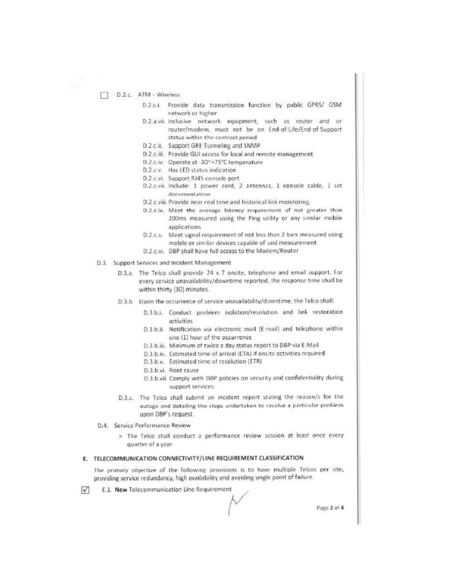#### D.2.c. ATM - Wireless  $\Box$

- D.2.c.i. Provide data transmission function by public GPRS/ GSM network or higher
- D.2.a.vii. Inclusive network equipment, such as router and or router/modern, must not be on End-of-Life/End-of-Support status within the contract period
- D.2.c.ii. Support GRE Tunneling and SNMP
- D.2.c.iii. Provide GUI access for local and remote management
- D.2.c.iv. Operate at -30~+75°C temperature
- D.2.c.v. Has LED status indication
- D.2.c.vi. Support RJ45 console port
- D.2.c.vii. Include: 1 power cord, 2 antennas, 1 console cable, 1 set documentation
- D.2.c.viii. Provide near real time and historical link monitoring.
- D.2.c.ix. Meet the average latency requirement of not greater than 200ms measured using the Ping utility or any similar mobile applications
- Meet signal requirement of not less than 2 bars measured using  $D.2.c.x.$ mobile or similar devices capable of said measurement
- D.2.c.xi. DBP shall have full access to the Modem/Router
- D.3. Support Services and Incident Management
	- D.3.a. The Telco shall provide 24 x 7 onsite, telephone and email support. For every service unavailability/downtime reported, the response time shall be within thirty (30) minutes.
	- D.3.b. Upon the occurrence of service unavailability/downtime, the Telco shall:
		- D.3.b.i. Conduct problem isolation/resolution and link restoration activities
		- D.3.b.ii. Notification via electronic mail (E-mail) and telephone within one (1) hour of the occurrence
		- D.3.b.iii. Minimum of twice a day status report to DBP via E-Mail
		- D.3.b.iv. Estimated time of arrival (ETA) if onsite activities required
		- D.3.b.v. Estimated time of resolution (ETR)
		- D.3.b.vi. Root cause
		- D.3.b.vii. Comply with DBP policies on security and confidentiality during support services.
	- D.3.c. The Telco shall submit an incident report stating the reason/s for the outage and detailing the steps undertaken to resolve a particular problem upon DBP's request.
- D.4. Service Performance Review
	- > The Telco shall conduct a performance review session at least once every quarter of a year

#### E. TELECOMMUNICATION CONNECTIVITY/LINE REQUIREMENT CLASSIFICATION

The primary objective of the following provisions is to have multiple Telcos per site, providing service redundancy, high availability and avoiding single point of failure.

 $\sqrt{ }$ E.1. New Telecommunication Line Requirement

Page 2 of 4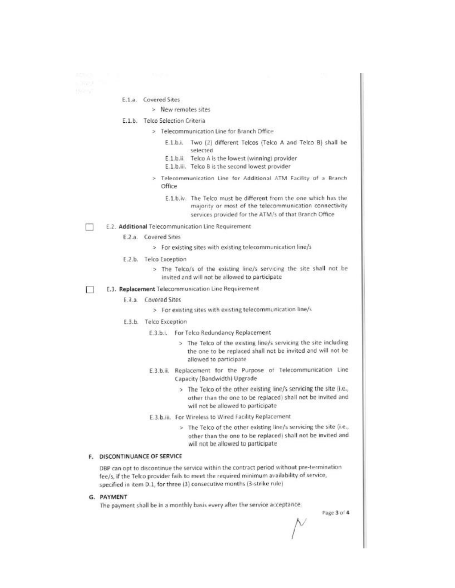E.1.a. Covered Sites

### > New remotes sites

- E.1.b. Telco Selection Criteria
	- > Telecommunication Line for Branch Office
		- E.1.b.i. Two (2) different Telcos (Telco A and Telco B) shall be selected
		- E.1.b.ii. Telco A is the lowest (winning) provider
		- E.1.b.iii. Telco B is the second lowest provider
		- > Telecommunication Line for Additional ATM Facility of a Branch Office
			- E.1.b.iv. The Telco must be different from the one which has the majority or most of the telecommunication connectivity services provided for the ATM/s of that Branch Office
- E.2. Additional Telecommunication Line Requirement
	- E.2.a. Covered Sites
		- > For existing sites with existing telecommunication line/s
	- E.2.b. Telco Exception
		- > The Telco/s of the existing line/s servicing the site shall not be invited and will not be allowed to participate
- П E.3. Replacement Telecommunication Line Requirement
	- E.3.a. Covered Sites
		- > For existing sites with existing telecommunication line/s
	- E.3.b. Telco Exception
		- E.3.b.i. For Telco Redundancy Replacement
			- > The Telco of the existing line/s servicing the site including the one to be replaced shall not be invited and will not be allowed to participate
		- E.3.b.ii. Replacement for the Purpose of Telecommunication Line Capacity (Bandwidth) Upgrade
			- > The Telco of the other existing line/s servicing the site (i.e., other than the one to be replaced) shall not be invited and will not be allowed to participate
		- E.3.b.iii. For Wireless to Wired Facility Replacement
			- > The Telco of the other existing line/s servicing the site (i.e., other than the one to be replaced) shall not be invited and will not be allowed to participate

#### F. DISCONTINUANCE OF SERVICE

DBP can opt to discontinue the service within the contract period without pre-termination fee/s, if the Telco provider fails to meet the required minimum availability of service, specified in item D.1, for three (3) consecutive months (3-strike rule)

#### G. PAYMENT

The payment shall be in a monthly basis every after the service acceptance.

Page 3 of 4